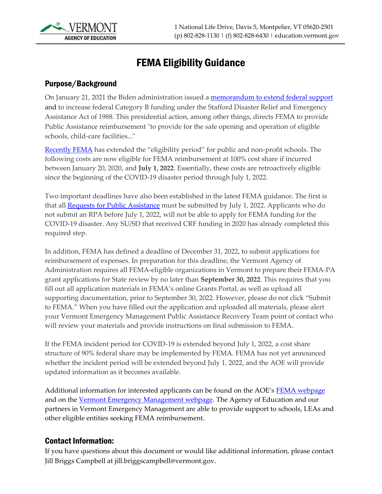

# FEMA Eligibility Guidance

## Purpose/Background

On January 21, 2021 the Biden administration issued a [memorandum to extend federal support](https://www.whitehouse.gov/briefing-room/presidential-actions/2021/01/21/extend-federal-support-to-governors-use-of-national-guard-to-respond-to-covid-19-and-to-increase-reimbursement-and-other-assistance-provided-to-states/) and to increase federal Category B funding under the Stafford Disaster Relief and Emergency Assistance Act of 1988. This presidential action, among other things, directs FEMA to provide Public Assistance reimbursement "to provide for the safe opening and operation of eligible schools, child-care facilities..."

[Recently FEMA](https://www.whitehouse.gov/briefing-room/presidential-actions/2022/03/01/memorandum-on-maximizing-assistance-to-respond-to-covid-19-2/) has extended the "eligibility period" for public and non-profit schools. The following costs are now eligible for FEMA reimbursement at 100% cost share if incurred between January 20, 2020, and **July 1, 2022**. Essentially, these costs are retroactively eligible since the beginning of the COVID-19 disaster period through July 1, 2022.

Two important deadlines have also been established in the latest FEMA guidance. The first is that all **Requests for Public Assistance** must be submitted by July 1, 2022. Applicants who do not submit an RPA before July 1, 2022, will not be able to apply for FEMA funding for the COVID-19 disaster. Any SU/SD that received CRF funding in 2020 has already completed this required step.

In addition, FEMA has defined a deadline of December 31, 2022, to submit applications for reimbursement of expenses. In preparation for this deadline, the Vermont Agency of Administration requires all FEMA-eligible organizations in Vermont to prepare their FEMA-PA grant applications for State review by no later than **September 30, 2022**. This requires that you fill out all application materials in FEMA's online Grants Portal, as well as upload all supporting documentation, prior to September 30, 2022. However, please do not click "Submit to FEMA." When you have filled out the application and uploaded all materials, please alert your Vermont Emergency Management Public Assistance Recovery Team point of contact who will review your materials and provide instructions on final submission to FEMA.

If the FEMA incident period for COVID-19 is extended beyond July 1, 2022, a cost share structure of 90% federal share may be implemented by FEMA. FEMA has not yet announced whether the incident period will be extended beyond July 1, 2022, and the AOE will provide updated information as it becomes available.

Additional information for interested applicants can be found on the AOE's [FEMA webpage](https://education.vermont.gov/news/covid-19-guidance-vermont-schools/covid-19-federal-emergency-funds/fema) and on the [Vermont Emergency Management webpage.](https://vem.vermont.gov/funding/pa) The Agency of Education and our partners in Vermont Emergency Management are able to provide support to schools, LEAs and other eligible entities seeking FEMA reimbursement.

### Contact Information:

If you have questions about this document or would like additional information, please contact Jill Briggs Campbell at jill.briggscampbell@vermont.gov.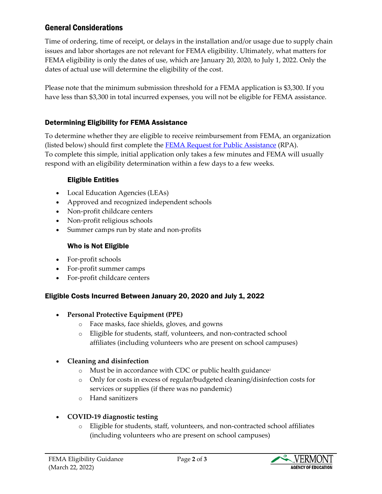# General Considerations

Time of ordering, time of receipt, or delays in the installation and/or usage due to supply chain issues and labor shortages are not relevant for FEMA eligibility. Ultimately, what matters for FEMA eligibility is only the dates of use, which are January 20, 2020, to July 1, 2022. Only the dates of actual use will determine the eligibility of the cost.

Please note that the minimum submission threshold for a FEMA application is \$3,300. If you have less than \$3,300 in total incurred expenses, you will not be eligible for FEMA assistance.

## Determining Eligibility for FEMA Assistance

To determine whether they are eligible to receive reimbursement from FEMA, an organization (listed below) should first complete the **FEMA** [Request for Public Assistance](https://grantee.fema.gov/EventOpenRequestPeriod) (RPA). To complete this simple, initial application only takes a few minutes and FEMA will usually respond with an eligibility determination within a few days to a few weeks.

#### Eligible Entities

- Local Education Agencies (LEAs)
- Approved and recognized independent schools
- Non-profit childcare centers
- Non-profit religious schools
- Summer camps run by state and non-profits

#### Who is Not Eligible

- For-profit schools
- For-profit summer camps
- For-profit childcare centers

### Eligible Costs Incurred Between January 20, 2020 and July 1, 2022

#### • **Personal Protective Equipment (PPE)**

- o Face masks, face shields, gloves, and gowns
- o Eligible for students, staff, volunteers, and non-contracted school affiliates (including volunteers who are present on school campuses)

#### • **Cleaning and disinfection**

- o Must be in accordance with CDC or public health guidance<sup>1</sup>
- o Only for costs in excess of regular/budgeted cleaning/disinfection costs for services or supplies (if there was no pandemic)
- o Hand sanitizers

### • **COVID-19 diagnostic testing**

o Eligible for students, staff, volunteers, and non-contracted school affiliates (including volunteers who are present on school campuses)